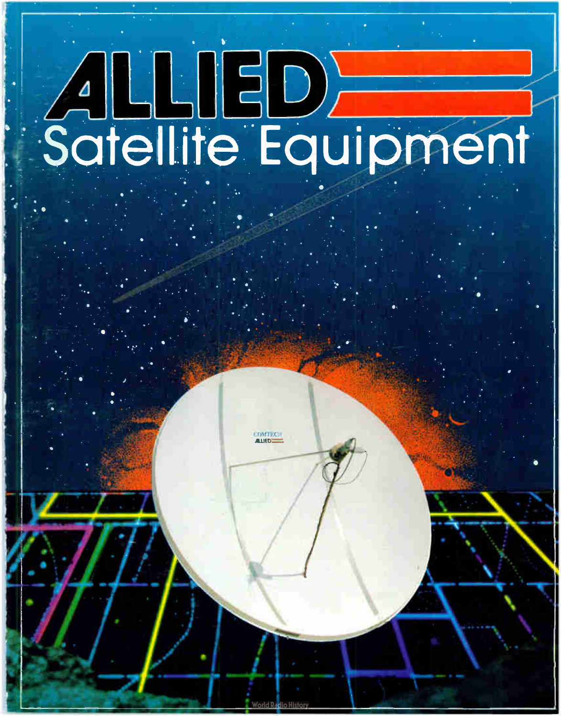# ALLIED<br>Satellite Equipment

**OMTEC AIRD**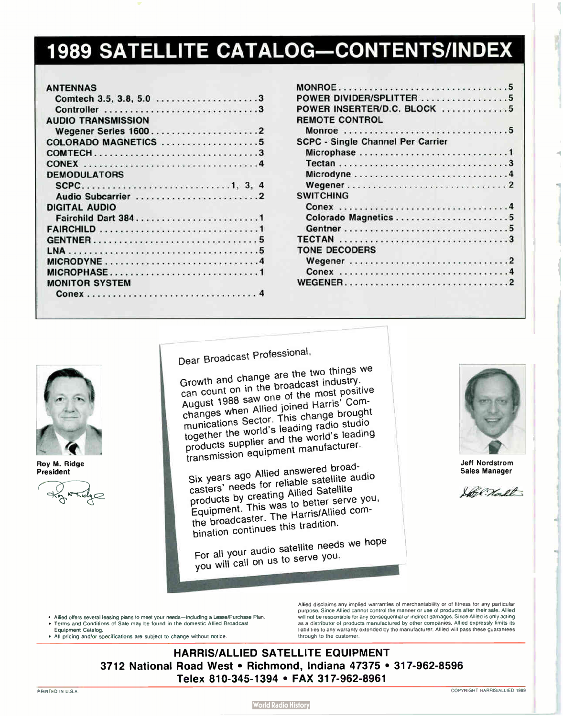# **1989 SATELLITE CATALOG-CONTENTS/INDEX**

#### ANTENNAS

| <b>AUDIO TRANSMISSION</b> |  |  |  |  |  |
|---------------------------|--|--|--|--|--|
| Wegener Series 16002      |  |  |  |  |  |
| COLORADO MAGNETICS 5      |  |  |  |  |  |
|                           |  |  |  |  |  |
|                           |  |  |  |  |  |
| <b>DEMODULATORS</b>       |  |  |  |  |  |
|                           |  |  |  |  |  |
| Audio Subcarrier 2        |  |  |  |  |  |
| DIGITAL AUDIO             |  |  |  |  |  |
|                           |  |  |  |  |  |
|                           |  |  |  |  |  |
|                           |  |  |  |  |  |
|                           |  |  |  |  |  |
|                           |  |  |  |  |  |
| MICROPHASE1               |  |  |  |  |  |
| <b>MONITOR SYSTEM</b>     |  |  |  |  |  |
|                           |  |  |  |  |  |

| 3              | POWER DIVIDER/SPLITTER 5                 |
|----------------|------------------------------------------|
| 3              | POWER INSERTER/D.C. BLOCK 5              |
|                | <b>REMOTE CONTROL</b>                    |
| $\overline{2}$ | Monroe 5                                 |
| 5              | <b>SCPC - Single Channel Per Carrier</b> |
| 3              | Microphase 1                             |
| 4              |                                          |
|                | Microdyne4                               |
| 4              |                                          |
| $\overline{2}$ | <b>SWITCHING</b>                         |
|                |                                          |
| 1              |                                          |
| 1              |                                          |
| 5              |                                          |
| 5              | <b>TONE DECODERS</b>                     |
| 4              |                                          |
| 1              |                                          |
|                |                                          |
|                |                                          |



Roy M. Ridge President



Dear Broadcast Professional,

Growth and change are the two things we can count on in the broadcast industry. caunt on in the broadcast industrial  $\frac{1}{2}$  1988 saw One of the most positive changes when Allied joined Harris' Communications Sector. This change brought<br>together the world's leading radio studio  $t_{\text{total}}$  the world's leading radio studio studio studio studio studio studio studio studio studio studio studio studio studio studio studio studio studio studio studio studio studio studio studio studio studio studio stu products supplier and the world's leading transmission equipment manufacturer.

Six years ago Allied answered broadcasters' needs for reliable satellite audio  $p_{\text{model}}$  by creating  $p_{\text{model}}$  $E_{\text{t}}$   $\sim$  mont. This Was to better server seem. the broadcaster. The Harris/Allied combination continues this tradition.

For all your audio satellite needs we hope you will call on us to serve you.



Jeff Nordstrom Sales Manager

Sole North

- Allied offers several leasing plans to meet your needs— including a Lease/Purchase Plan. • Terms and Conditions of Sale may be found in the domestic Allied Broadcast
- Equipment Catalog.
- All pricing and/or specifications are subject to change without notice.

Allied disclaims any implied warranties of merchantability or of fitness for any particular purpose. Since Allied cannot control the manner or use of products after their sale. Allied will not be responsible for any consequential or indirect damages. Since Allied is only acting as a distributor of products manufactured by other companies. Allied expressly limits its liabilities to any warranty extended by the manufacturer. Allied will pass these guarantees through to the customer.

HARRIS/ALLIED SATELLITE EQUIPMENT 3712 National Road West • Richmond, Indiana 47375 • 317-962-8596 Telex 810-345-1394 • FAX 317-962-8961

**World Radio History**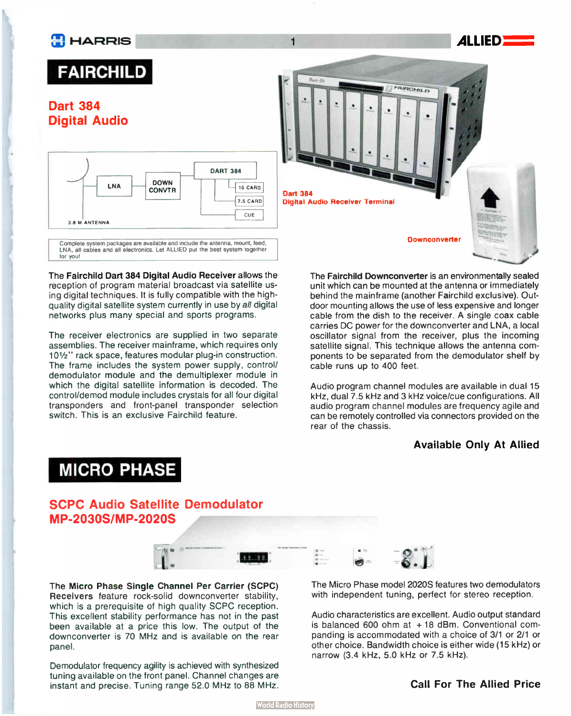

The Fairchild Dart 384 Digital Audio Receiver allows the reception of program material broadcast via satellite using digital techniques. It is fully compatible with the highquality digital satellite system currently in use by all digital networks plus many special and sports programs.

The receiver electronics are supplied in two separate assemblies. The receiver mainframe, which requires only <sup>10</sup> <sup>1</sup>/2" rack space, features modular plug-in construction. The frame includes the system power supply, control/ demodulator module and the demultiplexer module in which the digital satellite information is decoded. The control/demod module includes crystals for all four digital transponders and front-panel transponder selection switch. This is an exclusive Fairchild feature.

The Fairchild Downconverter is an environmentally sealed unit which can be mounted at the antenna or immediately behind the mainframe ( another Fairchild exclusive). Outdoor mounting allows the use of less expensive and longer cable from the dish to the receiver. A single coax cable carries DC power for the downconverter and LNA, a local oscillator signal from the receiver, plus the incoming satellite signal. This technique allows the antenna components to be separated from the demodulator shelf by cable runs up to 400 feet.

Audio program channel modules are available in dual 15 kHz, dual 7.5 kHz and 3 kHz voice/cue configurations. All audio program channel modules are frequency agile and can be remotely controlled via connectors provided on the rear of the chassis.

#### Available Only At Allied

# MICRO PHASE

SCPC Audio Satellite Demodulator MP-2030S/MP-2020S



The Micro Phase Single Channel Per Carrier (SCPC) Receivers feature rock-solid downconverter stability, which is a prerequisite of high quality SCPC reception. This excellent stability performance has not in the past been available at a price this low. The output of the downconverter is 70 MHz and is available on the rear panel.

Demodulator frequency agility is achieved with synthesized tuning available on the front panel. Channel changes are instant and precise. Tuning range 52.0 MHz to 88 MHz. The Micro Phase model 2020S features two demodulators with independent tuning, perfect for stereo reception.

Audio characteristics are excellent. Audio output standard is balanced 600 ohm at  $+18$  dBm. Conventional companding is accommodated with a choice of 3/1 or 2/1 or other choice. Bandwidth choice is either wide ( 15 kHz) or narrow (3.4 kHz, 5.0 kHz or 7.5 kHz).

### Call For The Allied Price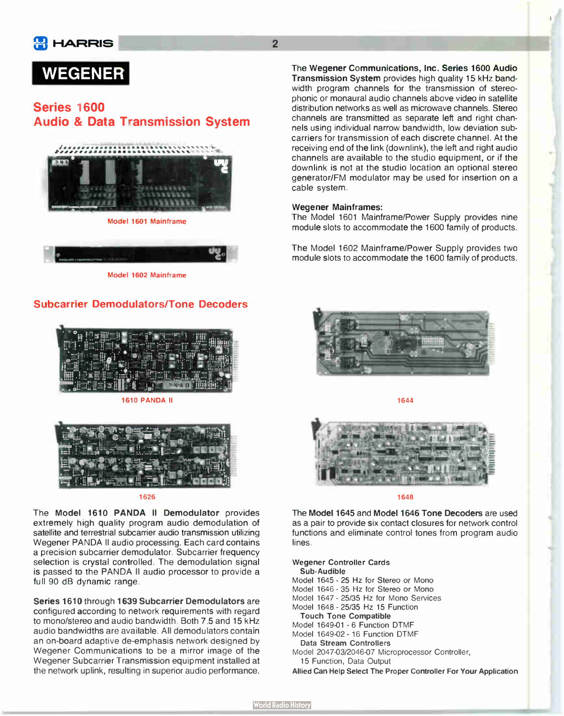

# WEGENER

## Series 1600 **Audio & Data Transmission System**





Model 1602 Mainframe

## Subcarrier Demodulators/Tone Decoders



**1610 PANDA II** 



#### 1626

The Model 1610 PANDA Il Demodulator provides extremely high quality program audio demodulation of satellite and terrestrial subcarrier audio transmission utilizing Wegener PANDA Il audio processing. Each card contains a precision subcarrier demodulator. Subcarrier frequency selection is crystal controlled. The demodulation signal is passed to the PANDA II audio processor to provide a full 90 dB dynamic range.

Series 1610 through 1639 Subcarrier Demodulators are configured according to network requirements with regard to mono/stereo and audio bandwidth. Both 7.5 and 15 kHz audio bandwidths are available. All demodulators contain an on-board adaptive de-emphasis network designed by Wegener Communications to be a mirror image of the Wegener Subcarrier Transmission equipment installed at the network uplink, resulting in superior audio performance.

The Wegener Communications, Inc. Series 1600 Audio Transmission System provides high quality 15 kHz bandwidth program channels for the transmission of stereophonic or monaural audio channels above video in satellite distribution networks as well as microwave channels. Stereo channels are transmitted as separate left and right channels using individual narrow bandwidth, low deviation subcarriers for transmission of each discrete channel. At the receiving end of the link (downlink), the left and right audio channels are available to the studio equipment, or if the downlink is not at the studio location an optional stereo generator/FM modulator may be used for insertion on a cable system.

#### Wegener Mainframes:

The Model 1601 Mainframe/Power Supply provides nine module slots to accommodate the 1600 family of products.

The Model 1602 Mainframe/Power Supply provides two module slots to accommodate the 1600 family of products.



1644



1648

The Model 1645 and Model 1646 Tone Decoders are used as a pair to provide six contact closures for network control functions and eliminate control tones from program audio lines.

Wegener Controller Cards Sub-Audible Model 1645 - 25 Hz for Stereo or Mono Model 1646 - 35 Hz for Stereo or Mono Model 1647 - 25/35 Hz for Mono Services Model 1648 - 25/35 Hz 15 Function Touch Tone Compatible Model 1649-01 - 6 Function DTMF Model 1649-02 - 16 Function DTMF Data Stream Controllers Model 2047-03/2046-07 Microprocessor Controller, 15 Function, Data Output Allied Can Help Select The Proper Controller For Your Application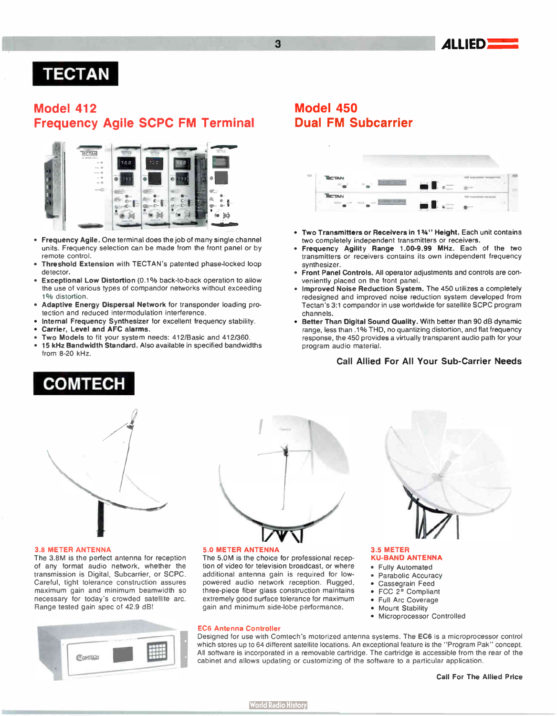

# TECTAN

## Model 412 Frequency Agile SCPC FM Terminal



- Frequency Agile. One terminal does the job of many single channel units. Frequency selection can be made from the front panel or by remote control.
- Threshold Extension with TECTAN's patented phase-locked loop detector.
- Exceptional Low Distortion (0.1% back-to-back operation to allow the use of various types of compandor networks without exceeding 1% distortion.
- Adaptive Energy Dispersal Network for transponder loading protection and reduced intermodulation interference.
- Internal Frequency Synthesizer for excellent frequency stability. • Carrier, Level and AFC alarms.
- Two Models to fit your system needs: 412/Basic and 412/360.
- 15 kHz Bandwidth Standard. Also available in specified bandwidths from 8-20 kHz.

# **COMTECH**



#### 3.8 METER ANTENNA

The 3.8M is the perfect antenna for reception of any format audio network, whether the transmission is Digital, Subcarrier, or SCPC. Careful, tight tolerance construction assures maximum gain and minimum beamwidth so necessary for today's crowded satellite arc. Range tested gain spec of 42.9 dB!





#### 5.0 METER ANTENNA

The 5.0M is the choice for professional reception of video for television broadcast, or where additional antenna gain is required for lowpowered audio network reception. Rugged, three-piece fiber glass construction maintains extremely good surface tolerance for maximum gain and minimum side-lobe performance.

#### EC6 Antenna Controller

Designed for use with Comtech's motorized antenna systems. The EC6 is a microprocessor control which stores up to 64 different satellite locations. An exceptional feature is the "Program Pak" concept. All software is incorporated in a removable cartridge. The cartridge is accessible from the rear of the cabinet and allows updating or customizing of the software to a particular application.

## Model 450 Dual FM Subcarrier



- Two Transmitters or Receivers in 1%" Height. Each unit contains two completely independent transmitters or receivers.
- Frequency Agility Range 1.00-9.99 MHz. Each of the two transmitters or receivers contains its own independent frequency synthesizer.
- Front Panel Controls. All operator adjustments and controls are conveniently placed on the front panel.
- Improved Noise Reduction System. The 450 utilizes a completely redesigned and improved noise reduction system developed from Tectan's 3:1 compandor in use worldwide for satellite SCPC program channels.
- Better Than Digital Sound Quality. With better than 90 dB dynamic range, less than . 1% THD, no quantizing distortion, and flat frequency response, the 450 provides a virtually transparent audio path for your program audio material.

#### Call Allied For All Your Sub- Carrier Needs

#### 3.5 METER KU-BAND ANTENNA

- Fully Automated
- Parabolic Accuracy
- Cassegrain Feed
- FCC 2° Compliant
- Full Arc Coverage
- Mount Stability
- Microprocessor Controlled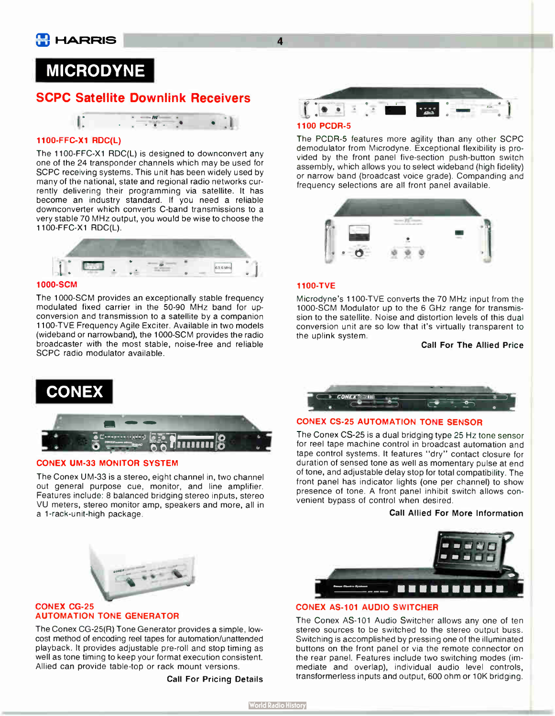## MICRODYNE

## SCPC Satellite Downlink Receivers



#### 1100-FFC-X1 RDC(L)

The 1100-FFC-X1 RDC(L) is designed to downconvert any one of the 24 transponder channels which may be used for SCPC receiving systems. This unit has been widely used by many of the national, state and regional radio networks currently delivering their programming via satellite. It has become an industry standard. If you need a reliable downconverter which converts C-band transmissions to a very stable 70 MHz output, you would be wise to choose the 1100-FFC-X1 RDC(L).



#### 1000-SCM

The 1000-SCM provides an exceptionally stable frequency modulated fixed carrier in the 50-90 MHz band for upconversion and transmission to a satellite by a companion <sup>1100</sup> -TVE Frequency Agile Exciter. Available in two models (wideband or narrowband), the 1000-SCM provides the radio broadcaster with the most stable, noise-free and reliable SCPC radio modulator available.





#### CONEX UM-33 MONITOR SYSTEM

The Conex UM-33 is a stereo, eight channel in, two channel out general purpose cue, monitor, and line amplifier. Features include: 8 balanced bridging stereo inputs, stereo VU meters, stereo monitor amp, speakers and more, all in a 1-rack-unit-high package.



## The PCDR-5 features more agility than any other SCPC demodulator from Microdyne. Exceptional flexibility is pro-

vided by the front panel five-section push-button switch assembly, which allows you to select wideband (high fidelity) or narrow band (broadcast voice grade). Companding and frequency selections are all front panel available.



#### 1100-TVE

Microdyne's 1100-TVE converts the 70 MHz input from the 1000-SCM Modulator up to the 6 GHz range for transmission to the satellite. Noise and distortion levels of this dual conversion unit are so low that it's virtually transparent to the uplink system.

#### Call For The Allied Price



#### **CONEX CS-25 AUTOMATION TONE SENSOR**

The Conex CS-25 is a dual bridging type 25 Hz tone sensor for reel tape machine control in broadcast automation and tape control systems. It features " dry" contact closure for duration of sensed tone as well as momentary pulse at end of tone, and adjustable delay stop for total compatibility. The front panel has indicator lights (one per channel) to show presence of tone. A front panel inhibit switch allows convenient bypass of control when desired.

#### Call Allied For More Information



#### **CONEX AS-101 AUDIO SWITCHER**

The Conex AS-101 Audio Switcher allows any one of ten stereo sources to be switched to the stereo output buss. Switching is accomplished by pressing one of the illuminated buttons on the front panel or via the remote connector on the rear panel. Features include two switching modes (immediate and overlap), individual audio level controls, transformerless inputs and output, 600 ohm or 10K bridging.



#### **CONEX CG-25** AUTOMATION TONE GENERATOR

The Conex CG-25(R) Tone Generator provides a simple, lowcost method of encoding reel tapes for automation/unattended playback. It provides adjustable pre- roll and stop timing as well as tone timing to keep your format execution consistent. Allied can provide table-top or rack mount versions.

Call For Pricing Details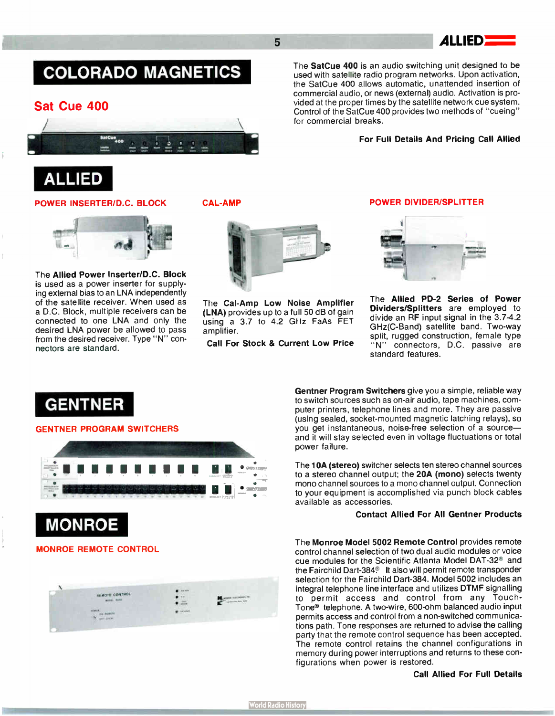5 ALLIED

# COLORADO MAGNETICS

## Sat Cue 400



## ALLIED

#### POWER INSERTER/D.C. BLOCK

<sup>1</sup>1 ..  $\mathbb{R}$  .  $\mathbb{R}$ 

The Allied Power Inserter/D.C. Block is used as a power inserter for supplying external bias to an LNA independently of the satellite receiver. When used as a D.C. Block, multiple receivers can be connected to one LNA and only the desired LNA power be allowed to pass from the desired receiver. Type "N" connectors are standard.

CAL- AMP

The Cal-Amp Low Noise Amplifier (LNA) provides up to a full 50 dB of gain using a 3.7 to 4.2 GHz FaAs FET amplifier.

Call For Stock & Current Low Price

#### POWER DIVIDER/SPLITTER

For Full Details And Pricing Call Allied

The SatCue 400 is an audio switching unit designed to be used with satellite radio program networks. Upon activation, the SatCue 400 allows automatic, unattended insertion of commercial audio, or news (external) audio. Activation is provided at the proper times by the satellite network cue system. Control of the SatCue 400 provides two methods of " cueing"

for commercial breaks.



The Allied PD-2 Series of Power Dividers/Splitters are employed to divide an RF input signal in the 3.7-4.2 GHz(C-Band) satellite band. Two-way split, rugged construction, female type "N" connectors, D.C. passive are standard features.

GENTNER

#### GENTNER PROGRAM SWITCHERS



#### MONROE REMOTE CONTROL



Gentner Program Switchers give you a simple, reliable way to switch sources such as on-air audio, tape machines, computer printers, telephone lines and more. They are passive (using sealed, socket- mounted magnetic latching relays), so you get instantaneous, noise-free selection of a source and it will stay selected even in voltage fluctuations or total power failure.

The 10A (stereo) switcher selects ten stereo channel sources to a stereo channel output; the 20A (mono) selects twenty mono channel sources to a mono channel output. Connection to your equipment is accomplished via punch block cables available as accessories.

#### Contact Allied For All Gentner Products

The Monroe Model 5002 Remote Control provides remote control channel selection of two dual audio modules or voice cue modules for the Scientific Atlanta Model DAT-32<sup>®</sup> and the Fairchild Dart-384<sup>®</sup> It also will permit remote transponder selection for the Fairchild Dart-384. Model 5002 includes an integral telephone line interface and utilizes DTMF signalling to permit access and control from any Touch-Tone<sup>®</sup> telephone. A two-wire, 600-ohm balanced audio input permits access and control from a non-switched communications path. Tone responses are returned to advise the calling party that the remote control sequence has been accepted. The remote control retains the channel configurations in memory during power interruptions and returns to these configurations when power is restored.

#### Call Allied For Full Details